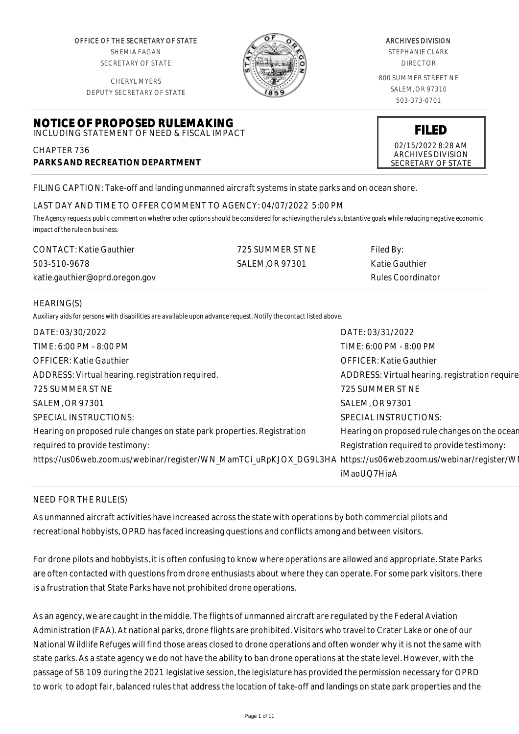OFFICE OF THE SECRETARY OF STATE SHEMIA FAGAN SECRETARY OF STATE

CHERYL MYERS



#### ARCHIVES DIVISION

STEPHANIE CLARK DIRECTOR

800 SUMMER STREET NE SALEM, OR 97310 503-373-0701

> **FILED** 02/15/2022 8:28 AM ARCHIVES DIVISION SECRETARY OF STATE

DEPUTY SECRETARY OF STATE

#### **NOTICE OF PROPOSED RULEMAKING** INCLUDING STATEMENT OF NEED & FISCAL IMPACT

CHAPTER 736 **PARKS AND RECREATION DEPARTMENT**

FILING CAPTION: Take-off and landing unmanned aircraft systems in state parks and on ocean shore.

# LAST DAY AND TIME TO OFFER COMMENT TO AGENCY: 04/07/2022 5:00 PM

*The Agency requests public comment on whether other options should be considered for achieving the rule's substantive goals while reducing negative economic impact of the rule on business.*

| <b>CONTACT:</b> Katie Gauthier | 725 SUMMER ST NE | Filed By:         |
|--------------------------------|------------------|-------------------|
| 503-510-9678                   | SALEM.OR 97301   | Katie Gauthier    |
| katie.gauthier@oprd.oregon.gov |                  | Rules Coordinator |

#### HEARING(S)

*Auxiliary aids for persons with disabilities are available upon advance request. Notify the contact listed above.*

| DATE: 03/30/2022                                                                                               | DATE: 03/31/2022                               |
|----------------------------------------------------------------------------------------------------------------|------------------------------------------------|
| TIME: 6:00 PM - 8:00 PM                                                                                        | TIME: 6:00 PM - 8:00 PM                        |
| <b>OFFICER: Katie Gauthier</b>                                                                                 | <b>OFFICER: Katie Gauthier</b>                 |
| ADDRESS: Virtual hearing. registration required.                                                               | ADDRESS: Virtual hearing. registration require |
| 725 SUMMER ST NE                                                                                               | 725 SUMMER ST NE                               |
| <b>SALEM, OR 97301</b>                                                                                         | <b>SALEM, OR 97301</b>                         |
| SPECIAL INSTRUCTIONS:                                                                                          | SPECIAL INSTRUCTIONS:                          |
| Hearing on proposed rule changes on state park properties. Registration                                        | Hearing on proposed rule changes on the ocean  |
| required to provide testimony:                                                                                 | Registration required to provide testimony:    |
| https://us06web.zoom.us/webinar/register/WN_MamTCi_uRpKJOX_DG9L3HA https://us06web.zoom.us/webinar/register/WI |                                                |
|                                                                                                                | iMaoUO7HiaA                                    |
|                                                                                                                |                                                |

# NEED FOR THE RULE(S)

As unmanned aircraft activities have increased across the state with operations by both commercial pilots and recreational hobbyists, OPRD has faced increasing questions and conflicts among and between visitors.

For drone pilots and hobbyists, it is often confusing to know where operations are allowed and appropriate. State Parks are often contacted with questions from drone enthusiasts about where they can operate. For some park visitors, there is a frustration that State Parks have not prohibited drone operations.

As an agency, we are caught in the middle. The flights of unmanned aircraft are regulated by the Federal Aviation Administration (FAA). At national parks, drone flights are prohibited. Visitors who travel to Crater Lake or one of our National Wildlife Refuges will find those areas closed to drone operations and often wonder why it is not the same with state parks. As a state agency we do not have the ability to ban drone operations at the state level. However, with the passage of SB 109 during the 2021 legislative session, the legislature has provided the permission necessary for OPRD to work to adopt fair, balanced rules that address the location of take-off and landings on state park properties and the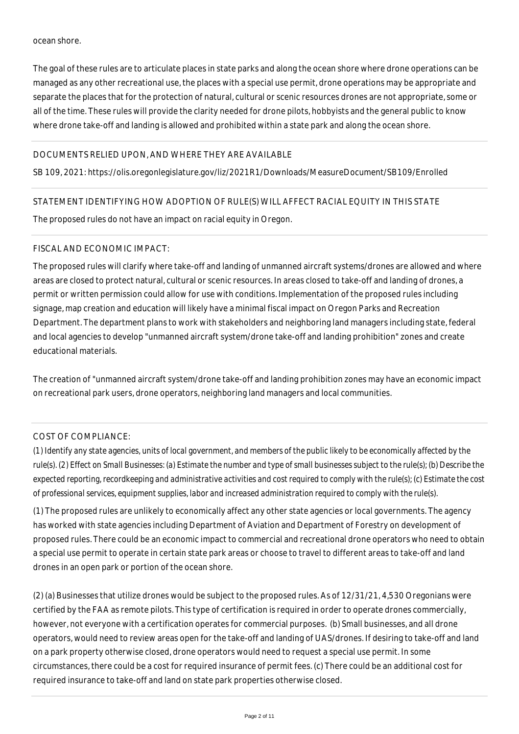#### ocean shore.

The goal of these rules are to articulate places in state parks and along the ocean shore where drone operations can be managed as any other recreational use, the places with a special use permit, drone operations may be appropriate and separate the places that for the protection of natural, cultural or scenic resources drones are not appropriate, some or all of the time. These rules will provide the clarity needed for drone pilots, hobbyists and the general public to know where drone take-off and landing is allowed and prohibited within a state park and along the ocean shore.

# DOCUMENTS RELIED UPON, AND WHERE THEY ARE AVAILABLE

SB 109, 2021: https://olis.oregonlegislature.gov/liz/2021R1/Downloads/MeasureDocument/SB109/Enrolled

### STATEMENT IDENTIFYING HOW ADOPTION OF RULE(S) WILL AFFECT RACIAL EQUITY IN THIS STATE

The proposed rules do not have an impact on racial equity in Oregon.

### FISCAL AND ECONOMIC IMPACT:

The proposed rules will clarify where take-off and landing of unmanned aircraft systems/drones are allowed and where areas are closed to protect natural, cultural or scenic resources. In areas closed to take-off and landing of drones, a permit or written permission could allow for use with conditions. Implementation of the proposed rules including signage, map creation and education will likely have a minimal fiscal impact on Oregon Parks and Recreation Department. The department plans to work with stakeholders and neighboring land managers including state, federal and local agencies to develop "unmanned aircraft system/drone take-off and landing prohibition" zones and create educational materials.

The creation of "unmanned aircraft system/drone take-off and landing prohibition zones may have an economic impact on recreational park users, drone operators, neighboring land managers and local communities.

# COST OF COMPLIANCE:

*(1) Identify any state agencies, units of local government, and members of the public likely to be economically affected by the rule(s). (2) Effect on Small Businesses: (a) Estimate the number and type of small businesses subject to the rule(s); (b) Describe the expected reporting, recordkeeping and administrative activities and cost required to comply with the rule(s); (c) Estimate the cost of professional services, equipment supplies, labor and increased administration required to comply with the rule(s).*

(1) The proposed rules are unlikely to economically affect any other state agencies or local governments. The agency has worked with state agencies including Department of Aviation and Department of Forestry on development of proposed rules. There could be an economic impact to commercial and recreational drone operators who need to obtain a special use permit to operate in certain state park areas or choose to travel to different areas to take-off and land drones in an open park or portion of the ocean shore.

(2) (a) Businesses that utilize drones would be subject to the proposed rules. As of 12/31/21, 4,530 Oregonians were certified by the FAA as remote pilots. This type of certification is required in order to operate drones commercially, however, not everyone with a certification operates for commercial purposes. (b) Small businesses, and all drone operators, would need to review areas open for the take-off and landing of UAS/drones. If desiring to take-off and land on a park property otherwise closed, drone operators would need to request a special use permit. In some circumstances, there could be a cost for required insurance of permit fees. (c) There could be an additional cost for required insurance to take-off and land on state park properties otherwise closed.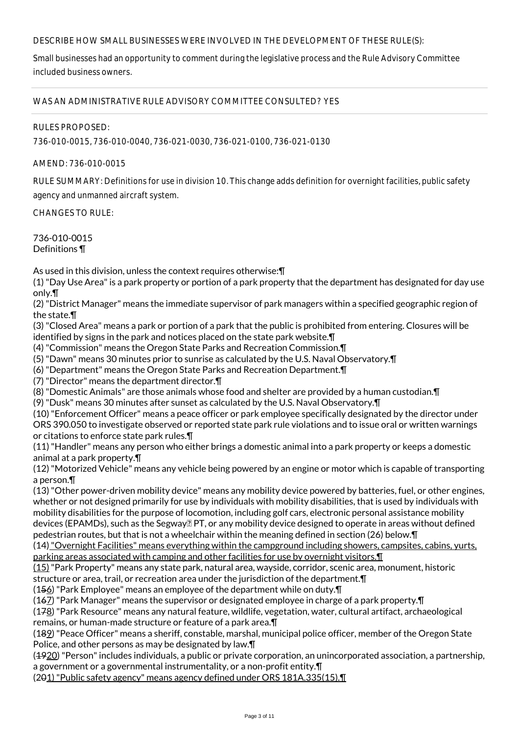## DESCRIBE HOW SMALL BUSINESSES WERE INVOLVED IN THE DEVELOPMENT OF THESE RULE(S):

Small businesses had an opportunity to comment during the legislative process and the Rule Advisory Committee included business owners.

WAS AN ADMINISTRATIVE RULE ADVISORY COMMITTEE CONSULTED? YES

RULES PROPOSED:

736-010-0015, 736-010-0040, 736-021-0030, 736-021-0100, 736-021-0130

AMEND: 736-010-0015

RULE SUMMARY: Definitions for use in division 10. This change adds definition for overnight facilities, public safety

agency and unmanned aircraft system.

CHANGES TO RULE:

736-010-0015 Definitions ¶

As used in this division, unless the context requires otherwise:¶

(1) "Day Use Area" is a park property or portion of a park property that the department has designated for day use only.¶

(2) "District Manager" means the immediate supervisor of park managers within a specified geographic region of the state.¶

(3) "Closed Area" means a park or portion of a park that the public is prohibited from entering. Closures will be identified by signs in the park and notices placed on the state park website.¶

(4) "Commission" means the Oregon State Parks and Recreation Commission.¶

- (5) "Dawn" means 30 minutes prior to sunrise as calculated by the U.S. Naval Observatory.¶
- (6) "Department" means the Oregon State Parks and Recreation Department.¶

(7) "Director" means the department director.¶

(8) "Domestic Animals" are those animals whose food and shelter are provided by a human custodian.¶

(9) "Dusk" means 30 minutes after sunset as calculated by the U.S. Naval Observatory.¶

(10) "Enforcement Officer" means a peace officer or park employee specifically designated by the director under ORS 390.050 to investigate observed or reported state park rule violations and to issue oral or written warnings or citations to enforce state park rules.¶

(11) "Handler" means any person who either brings a domestic animal into a park property or keeps a domestic animal at a park property.¶

(12) "Motorized Vehicle" means any vehicle being powered by an engine or motor which is capable of transporting a person.¶

(13) "Other power-driven mobility device" means any mobility device powered by batteries, fuel, or other engines, whether or not designed primarily for use by individuals with mobility disabilities, that is used by individuals with mobility disabilities for the purpose of locomotion, including golf cars, electronic personal assistance mobility devices (EPAMDs), such as the Segway ? PT, or any mobility device designed to operate in areas without defined pedestrian routes, but that is not a wheelchair within the meaning defined in section (26) below.¶

(14) "Overnight Facilities" means everything within the campground including showers, campsites, cabins, yurts, parking areas associated with camping and other facilities for use by overnight visitors. I

(15) "Park Property" means any state park, natural area, wayside, corridor, scenic area, monument, historic structure or area, trail, or recreation area under the jurisdiction of the department.¶

(156) "Park Employee" means an employee of the department while on duty.¶

(167) "Park Manager" means the supervisor or designated employee in charge of a park property.¶

(178) "Park Resource" means any natural feature, wildlife, vegetation, water, cultural artifact, archaeological remains, or human-made structure or feature of a park area.¶

(189) "Peace Officer" means a sheriff, constable, marshal, municipal police officer, member of the Oregon State Police, and other persons as may be designated by law.¶

(1920) "Person" includes individuals, a public or private corporation, an unincorporated association, a partnership, a government or a governmental instrumentality, or a non-profit entity.¶

(201) "Public safety agency" means agency defined under ORS 181A.335(15).¶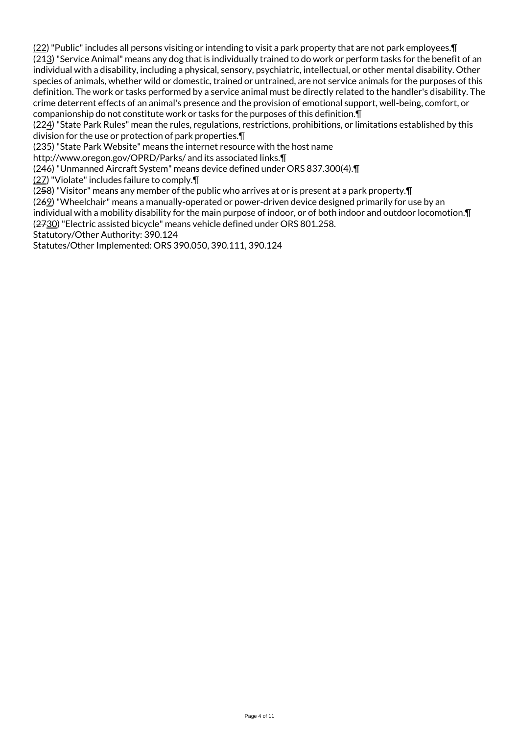(22) "Public" includes all persons visiting or intending to visit a park property that are not park employees.¶ (243) "Service Animal" means any dog that is individually trained to do work or perform tasks for the benefit of an individual with a disability, including a physical, sensory, psychiatric, intellectual, or other mental disability. Other species of animals, whether wild or domestic, trained or untrained, are not service animals for the purposes of this definition. The work or tasks performed by a service animal must be directly related to the handler's disability. The crime deterrent effects of an animal's presence and the provision of emotional support, well-being, comfort, or companionship do not constitute work or tasks for the purposes of this definition.¶

(224) "State Park Rules" mean the rules, regulations, restrictions, prohibitions, or limitations established by this division for the use or protection of park properties.¶

(235) "State Park Website" means the internet resource with the host name

http://www.oregon.gov/OPRD/Parks/ and its associated links.¶

(246) "Unmanned Aircraft System" means device defined under ORS 837.300(4).¶

(27) "Violate" includes failure to comply.¶

 $(258)$  "Visitor" means any member of the public who arrives at or is present at a park property. $\P$ 

 $(262)$  "Wheelchair" means a manually-operated or power-driven device designed primarily for use by an

individual with a mobility disability for the main purpose of indoor, or of both indoor and outdoor locomotion.¶ (2730) "Electric assisted bicycle" means vehicle defined under ORS 801.258.

Statutory/Other Authority: 390.124

Statutes/Other Implemented: ORS 390.050, 390.111, 390.124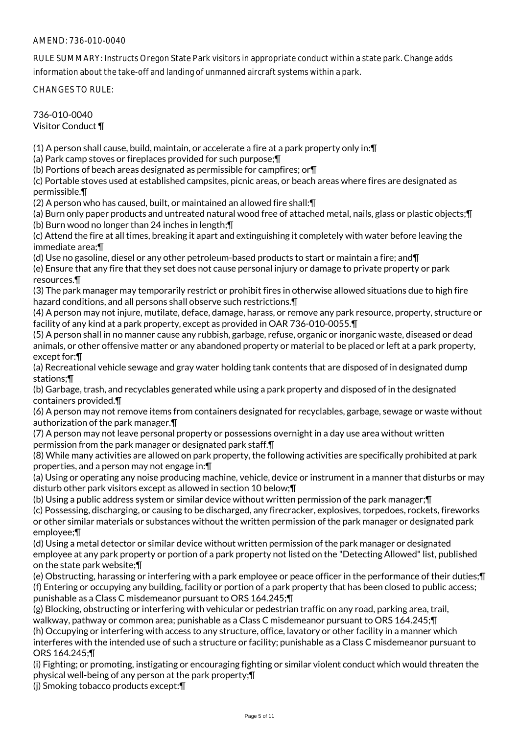# AMEND: 736-010-0040

RULE SUMMARY: Instructs Oregon State Park visitors in appropriate conduct within a state park. Change adds information about the take-off and landing of unmanned aircraft systems within a park.

CHANGES TO RULE:

736-010-0040

Visitor Conduct ¶

(1) A person shall cause, build, maintain, or accelerate a fire at a park property only in:¶

(a) Park camp stoves or fireplaces provided for such purpose;¶

(b) Portions of beach areas designated as permissible for campfires; or¶

(c) Portable stoves used at established campsites, picnic areas, or beach areas where fires are designated as permissible.¶

(2) A person who has caused, built, or maintained an allowed fire shall:¶

(a) Burn only paper products and untreated natural wood free of attached metal, nails, glass or plastic objects;¶ (b) Burn wood no longer than 24 inches in length;¶

(c) Attend the fire at all times, breaking it apart and extinguishing it completely with water before leaving the immediate area;¶

(d) Use no gasoline, diesel or any other petroleum-based products to start or maintain a fire; and¶

(e) Ensure that any fire that they set does not cause personal injury or damage to private property or park resources.¶

(3) The park manager may temporarily restrict or prohibit fires in otherwise allowed situations due to high fire hazard conditions, and all persons shall observe such restrictions. [1]

(4) A person may not injure, mutilate, deface, damage, harass, or remove any park resource, property, structure or facility of any kind at a park property, except as provided in OAR 736-010-0055.¶

(5) A person shall in no manner cause any rubbish, garbage, refuse, organic or inorganic waste, diseased or dead animals, or other offensive matter or any abandoned property or material to be placed or left at a park property, except for:¶

(a) Recreational vehicle sewage and gray water holding tank contents that are disposed of in designated dump stations;¶

(b) Garbage, trash, and recyclables generated while using a park property and disposed of in the designated containers provided.¶

(6) A person may not remove items from containers designated for recyclables, garbage, sewage or waste without authorization of the park manager.¶

(7) A person may not leave personal property or possessions overnight in a day use area without written permission from the park manager or designated park staff.¶

(8) While many activities are allowed on park property, the following activities are specifically prohibited at park properties, and a person may not engage in:¶

(a) Using or operating any noise producing machine, vehicle, device or instrument in a manner that disturbs or may disturb other park visitors except as allowed in section 10 below;¶

(b) Using a public address system or similar device without written permission of the park manager;¶

(c) Possessing, discharging, or causing to be discharged, any firecracker, explosives, torpedoes, rockets, fireworks or other similar materials or substances without the written permission of the park manager or designated park employee;¶

(d) Using a metal detector or similar device without written permission of the park manager or designated employee at any park property or portion of a park property not listed on the "Detecting Allowed" list, published on the state park website;¶

(e) Obstructing, harassing or interfering with a park employee or peace officer in the performance of their duties;¶ (f) Entering or occupying any building, facility or portion of a park property that has been closed to public access; punishable as a Class C misdemeanor pursuant to ORS 164.245;¶

(g) Blocking, obstructing or interfering with vehicular or pedestrian traffic on any road, parking area, trail, walkway, pathway or common area; punishable as a Class C misdemeanor pursuant to ORS 164.245;¶

(h) Occupying or interfering with access to any structure, office, lavatory or other facility in a manner which interferes with the intended use of such a structure or facility; punishable as a Class C misdemeanor pursuant to ORS 164.245;¶

(i) Fighting; or promoting, instigating or encouraging fighting or similar violent conduct which would threaten the physical well-being of any person at the park property;¶

(j) Smoking tobacco products except:¶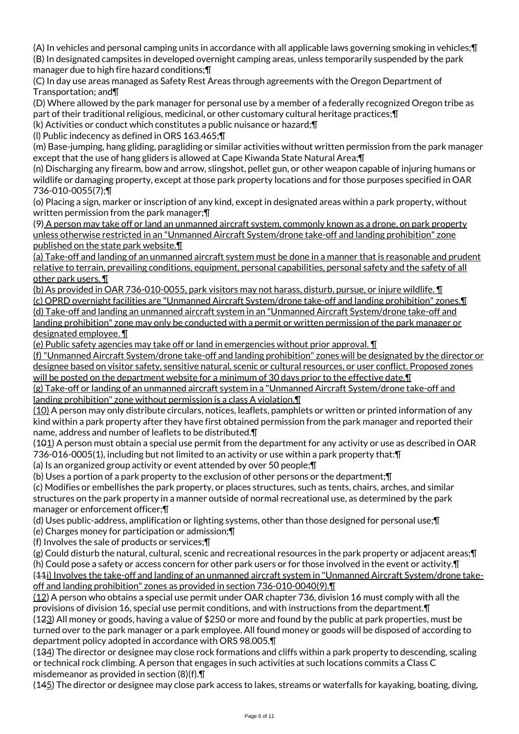(A) In vehicles and personal camping units in accordance with all applicable laws governing smoking in vehicles;¶ (B) In designated campsites in developed overnight camping areas, unless temporarily suspended by the park manager due to high fire hazard conditions;¶

(C) In day use areas managed as Safety Rest Areas through agreements with the Oregon Department of Transportation; and¶

(D) Where allowed by the park manager for personal use by a member of a federally recognized Oregon tribe as part of their traditional religious, medicinal, or other customary cultural heritage practices;¶

(k) Activities or conduct which constitutes a public nuisance or hazard;¶

(l) Public indecency as defined in ORS 163.465;¶

(m) Base-jumping, hang gliding, paragliding or similar activities without written permission from the park manager except that the use of hang gliders is allowed at Cape Kiwanda State Natural Area;¶

(n) Discharging any firearm, bow and arrow, slingshot, pellet gun, or other weapon capable of injuring humans or wildlife or damaging property, except at those park property locations and for those purposes specified in OAR 736-010-0055(7);¶

(o) Placing a sign, marker or inscription of any kind, except in designated areas within a park property, without written permission from the park manager;¶

(9) A person may take off or land an unmanned aircraft system, commonly known as a drone, on park property unless otherwise restricted in an "Unmanned Aircraft System/drone take-off and landing prohibition" zone published on the state park website.¶

(a) Take-off and landing of an unmanned aircraft system must be done in a manner that is reasonable and prudent relative to terrain, prevailing conditions, equipment, personal capabilities, personal safety and the safety of all other park users. ¶

(b) As provided in OAR 736-010-0055, park visitors may not harass, disturb, pursue, or injure wildlife. ¶ (c) OPRD overnight facilities are "Unmanned Aircraft System/drone take-off and landing prohibition" zones.¶ (d) Take-off and landing an unmanned aircraft system in an "Unmanned Aircraft System/drone take-off and landing prohibition" zone may only be conducted with a permit or written permission of the park manager or designated employee. ¶

(e) Public safety agencies may take off or land in emergencies without prior approval. ¶

(f) "Unmanned Aircraft System/drone take-off and landing prohibition" zones will be designated by the director or designee based on visitor safety, sensitive natural, scenic or cultural resources, or user conflict. Proposed zones will be posted on the department website for a minimum of 30 days prior to the effective date.¶

(g) Take-off or landing of an unmanned aircraft system in a "Unmanned Aircraft System/drone take-off and landing prohibition" zone without permission is a class A violation.¶

(10) A person may only distribute circulars, notices, leaflets, pamphlets or written or printed information of any kind within a park property after they have first obtained permission from the park manager and reported their name, address and number of leaflets to be distributed.¶

(101) A person must obtain a special use permit from the department for any activity or use as described in OAR 736-016-0005(1), including but not limited to an activity or use within a park property that:¶

(a) Is an organized group activity or event attended by over 50 people;¶

(b) Uses a portion of a park property to the exclusion of other persons or the department;¶

(c) Modifies or embellishes the park property, or places structures, such as tents, chairs, arches, and similar structures on the park property in a manner outside of normal recreational use, as determined by the park manager or enforcement officer;¶

(d) Uses public-address, amplification or lighting systems, other than those designed for personal use;¶

(e) Charges money for participation or admission;¶

(f) Involves the sale of products or services;¶

(g) Could disturb the natural, cultural, scenic and recreational resources in the park property or adjacent areas;¶ (h) Could pose a safety or access concern for other park users or for those involved in the event or activity.¶ (44i) Involves the take-off and landing of an unmanned aircraft system in "Unmanned Aircraft System/drone takeoff and landing prohibition" zones as provided in section 736-010-0040(9).¶

(12) A person who obtains a special use permit under OAR chapter 736, division 16 must comply with all the provisions of division 16, special use permit conditions, and with instructions from the department.¶ (123) All money or goods, having a value of \$250 or more and found by the public at park properties, must be turned over to the park manager or a park employee. All found money or goods will be disposed of according to department policy adopted in accordance with ORS 98.005.¶

(134) The director or designee may close rock formations and cliffs within a park property to descending, scaling or technical rock climbing. A person that engages in such activities at such locations commits a Class C misdemeanor as provided in section (8)(f).¶

(145) The director or designee may close park access to lakes, streams or waterfalls for kayaking, boating, diving,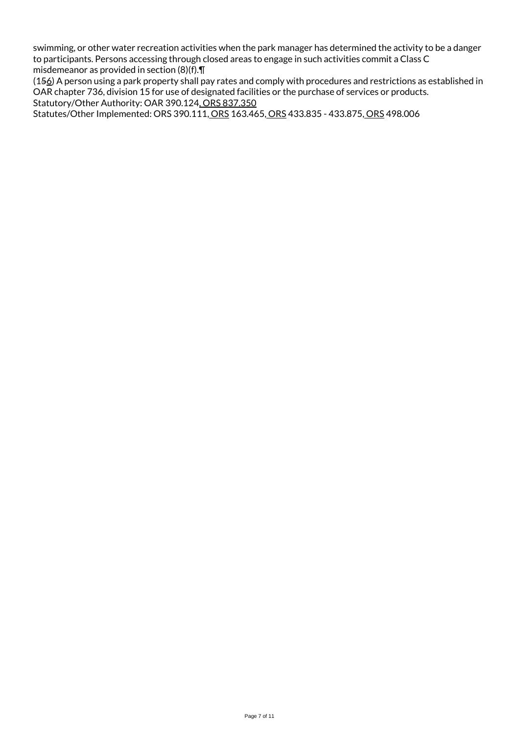swimming, or other water recreation activities when the park manager has determined the activity to be a danger to participants. Persons accessing through closed areas to engage in such activities commit a Class C misdemeanor as provided in section (8)(f).¶

(156) A person using a park property shall pay rates and comply with procedures and restrictions as established in OAR chapter 736, division 15 for use of designated facilities or the purchase of services or products. Statutory/Other Authority: OAR 390.124, ORS 837.350

Statutes/Other Implemented: ORS 390.111, ORS 163.465, ORS 433.835 - 433.875, ORS 498.006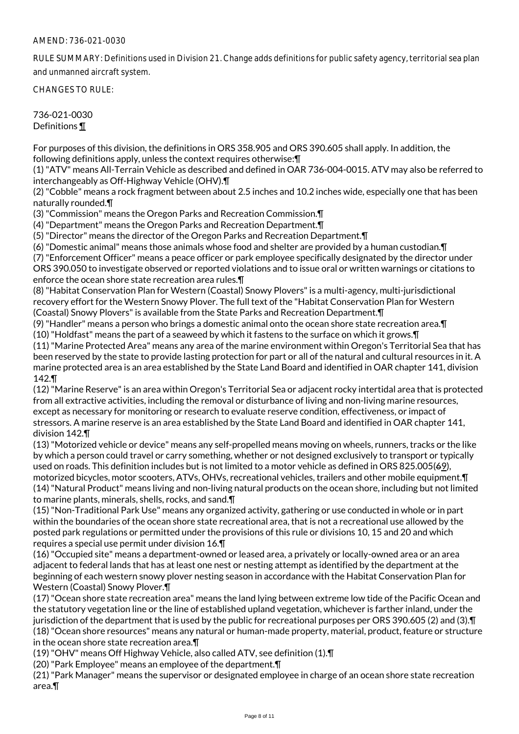## AMEND: 736-021-0030

RULE SUMMARY: Definitions used in Division 21. Change adds definitions for public safety agency, territorial sea plan and unmanned aircraft system.

CHANGES TO RULE:

736-021-0030 Definitions ¶

For purposes of this division, the definitions in ORS 358.905 and ORS 390.605 shall apply. In addition, the following definitions apply, unless the context requires otherwise:¶

(1) "ATV" means All-Terrain Vehicle as described and defined in OAR 736-004-0015. ATV may also be referred to interchangeably as Off-Highway Vehicle (OHV).¶

(2) "Cobble" means a rock fragment between about 2.5 inches and 10.2 inches wide, especially one that has been naturally rounded.¶

(3) "Commission" means the Oregon Parks and Recreation Commission.¶

(4) "Department" means the Oregon Parks and Recreation Department.¶

(5) "Director" means the director of the Oregon Parks and Recreation Department.¶

(6) "Domestic animal" means those animals whose food and shelter are provided by a human custodian.¶

(7) "Enforcement Officer" means a peace officer or park employee specifically designated by the director under ORS 390.050 to investigate observed or reported violations and to issue oral or written warnings or citations to enforce the ocean shore state recreation area rules.¶

(8) "Habitat Conservation Plan for Western (Coastal) Snowy Plovers" is a multi-agency, multi-jurisdictional recovery effort for the Western Snowy Plover. The full text of the "Habitat Conservation Plan for Western (Coastal) Snowy Plovers" is available from the State Parks and Recreation Department.¶

(9) "Handler" means a person who brings a domestic animal onto the ocean shore state recreation area.¶

(10) "Holdfast" means the part of a seaweed by which it fastens to the surface on which it grows.¶

(11) "Marine Protected Area" means any area of the marine environment within Oregon's Territorial Sea that has been reserved by the state to provide lasting protection for part or all of the natural and cultural resources in it. A marine protected area is an area established by the State Land Board and identified in OAR chapter 141, division 142.¶

(12) "Marine Reserve" is an area within Oregon's Territorial Sea or adjacent rocky intertidal area that is protected from all extractive activities, including the removal or disturbance of living and non-living marine resources, except as necessary for monitoring or research to evaluate reserve condition, effectiveness, or impact of stressors. A marine reserve is an area established by the State Land Board and identified in OAR chapter 141, division 142.¶

(13) "Motorized vehicle or device" means any self-propelled means moving on wheels, runners, tracks or the like by which a person could travel or carry something, whether or not designed exclusively to transport or typically used on roads. This definition includes but is not limited to a motor vehicle as defined in ORS 825.005(69), motorized bicycles, motor scooters, ATVs, OHVs, recreational vehicles, trailers and other mobile equipment.¶ (14) "Natural Product" means living and non-living natural products on the ocean shore, including but not limited to marine plants, minerals, shells, rocks, and sand.¶

(15) "Non-Traditional Park Use" means any organized activity, gathering or use conducted in whole or in part within the boundaries of the ocean shore state recreational area, that is not a recreational use allowed by the posted park regulations or permitted under the provisions of this rule or divisions 10, 15 and 20 and which requires a special use permit under division 16.¶

(16) "Occupied site" means a department-owned or leased area, a privately or locally-owned area or an area adjacent to federal lands that has at least one nest or nesting attempt as identified by the department at the beginning of each western snowy plover nesting season in accordance with the Habitat Conservation Plan for Western (Coastal) Snowy Plover.¶

(17) "Ocean shore state recreation area" means the land lying between extreme low tide of the Pacific Ocean and the statutory vegetation line or the line of established upland vegetation, whichever is farther inland, under the jurisdiction of the department that is used by the public for recreational purposes per ORS 390.605 (2) and (3).¶ (18) "Ocean shore resources" means any natural or human-made property, material, product, feature or structure in the ocean shore state recreation area.¶

(19) "OHV" means Off Highway Vehicle, also called ATV, see definition (1).¶

(20) "Park Employee" means an employee of the department.¶

(21) "Park Manager" means the supervisor or designated employee in charge of an ocean shore state recreation area.¶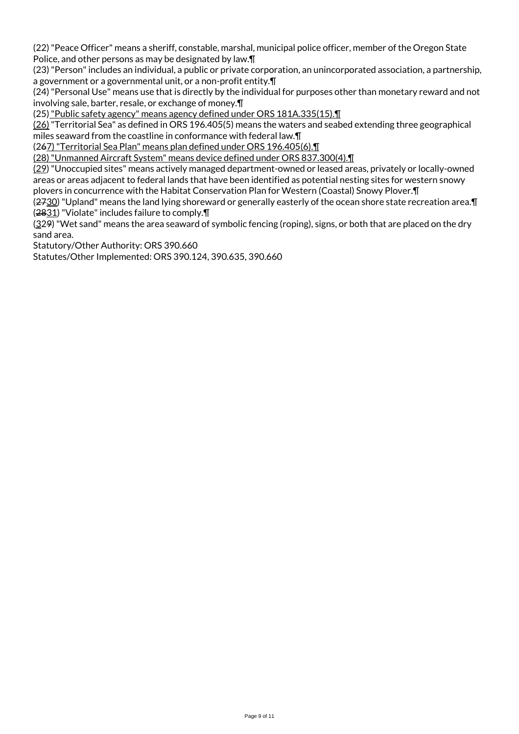(22) "Peace Officer" means a sheriff, constable, marshal, municipal police officer, member of the Oregon State Police, and other persons as may be designated by law.¶

(23) "Person" includes an individual, a public or private corporation, an unincorporated association, a partnership, a government or a governmental unit, or a non-profit entity.¶

(24) "Personal Use" means use that is directly by the individual for purposes other than monetary reward and not involving sale, barter, resale, or exchange of money.¶

(25) "Public safety agency" means agency defined under ORS 181A.335(15).¶

(26) "Territorial Sea" as defined in ORS 196.405(5) means the waters and seabed extending three geographical miles seaward from the coastline in conformance with federal law.¶

(267) "Territorial Sea Plan" means plan defined under ORS 196.405(6).¶

(28) "Unmanned Aircraft System" means device defined under ORS 837.300(4).¶

(29) "Unoccupied sites" means actively managed department-owned or leased areas, privately or locally-owned areas or areas adjacent to federal lands that have been identified as potential nesting sites for western snowy plovers in concurrence with the Habitat Conservation Plan for Western (Coastal) Snowy Plover.¶

(2730) "Upland" means the land lying shoreward or generally easterly of the ocean shore state recreation area.¶ (2831) "Violate" includes failure to comply.¶

(329) "Wet sand" means the area seaward of symbolic fencing (roping), signs, or both that are placed on the dry sand area.

Statutory/Other Authority: ORS 390.660

Statutes/Other Implemented: ORS 390.124, 390.635, 390.660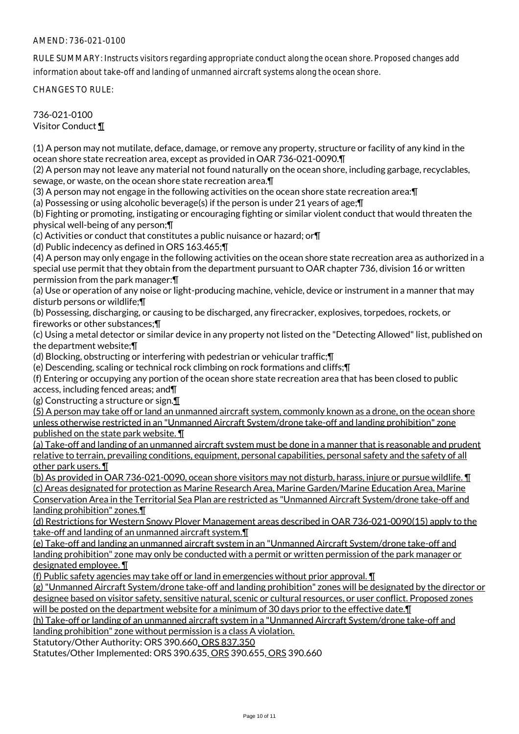# AMEND: 736-021-0100

RULE SUMMARY: Instructs visitors regarding appropriate conduct along the ocean shore. Proposed changes add information about take-off and landing of unmanned aircraft systems along the ocean shore.

CHANGES TO RULE:

736-021-0100 Visitor Conduct ¶

(1) A person may not mutilate, deface, damage, or remove any property, structure or facility of any kind in the ocean shore state recreation area, except as provided in OAR 736-021-0090.¶

(2) A person may not leave any material not found naturally on the ocean shore, including garbage, recyclables, sewage, or waste, on the ocean shore state recreation area.¶

(3) A person may not engage in the following activities on the ocean shore state recreation area:¶

(a) Possessing or using alcoholic beverage(s) if the person is under 21 years of age;¶

(b) Fighting or promoting, instigating or encouraging fighting or similar violent conduct that would threaten the physical well-being of any person;¶

(c) Activities or conduct that constitutes a public nuisance or hazard; or¶

(d) Public indecency as defined in ORS 163.465;¶

(4) A person may only engage in the following activities on the ocean shore state recreation area as authorized in a special use permit that they obtain from the department pursuant to OAR chapter 736, division 16 or written permission from the park manager:¶

(a) Use or operation of any noise or light-producing machine, vehicle, device or instrument in a manner that may disturb persons or wildlife;¶

(b) Possessing, discharging, or causing to be discharged, any firecracker, explosives, torpedoes, rockets, or fireworks or other substances;¶

(c) Using a metal detector or similar device in any property not listed on the "Detecting Allowed" list, published on the department website;¶

(d) Blocking, obstructing or interfering with pedestrian or vehicular traffic;¶

(e) Descending, scaling or technical rock climbing on rock formations and cliffs;¶

(f) Entering or occupying any portion of the ocean shore state recreation area that has been closed to public access, including fenced areas; and¶

(g) Constructing a structure or sign.¶

(5) A person may take off or land an unmanned aircraft system, commonly known as a drone, on the ocean shore unless otherwise restricted in an "Unmanned Aircraft System/drone take-off and landing prohibition" zone published on the state park website. ¶

(a) Take-off and landing of an unmanned aircraft system must be done in a manner that is reasonable and prudent relative to terrain, prevailing conditions, equipment, personal capabilities, personal safety and the safety of all other park users. ¶

(b) As provided in OAR 736-021-0090, ocean shore visitors may not disturb, harass, injure or pursue wildlife. ¶ (c) Areas designated for protection as Marine Research Area, Marine Garden/Marine Education Area, Marine Conservation Area in the Territorial Sea Plan are restricted as "Unmanned Aircraft System/drone take-off and landing prohibition" zones.¶

(d) Restrictions for Western Snowy Plover Management areas described in OAR 736-021-0090(15) apply to the take-off and landing of an unmanned aircraft system.¶

(e) Take-off and landing an unmanned aircraft system in an "Unmanned Aircraft System/drone take-off and landing prohibition" zone may only be conducted with a permit or written permission of the park manager or designated employee. ¶

(f) Public safety agencies may take off or land in emergencies without prior approval. ¶

(g) "Unmanned Aircraft System/drone take-off and landing prohibition" zones will be designated by the director or designee based on visitor safety, sensitive natural, scenic or cultural resources, or user conflict. Proposed zones will be posted on the department website for a minimum of 30 days prior to the effective date.¶

(h) Take-off or landing of an unmanned aircraft system in a "Unmanned Aircraft System/drone take-off and landing prohibition" zone without permission is a class A violation.

Statutory/Other Authority: ORS 390.660, ORS 837.350

Statutes/Other Implemented: ORS 390.635, ORS 390.655, ORS 390.660